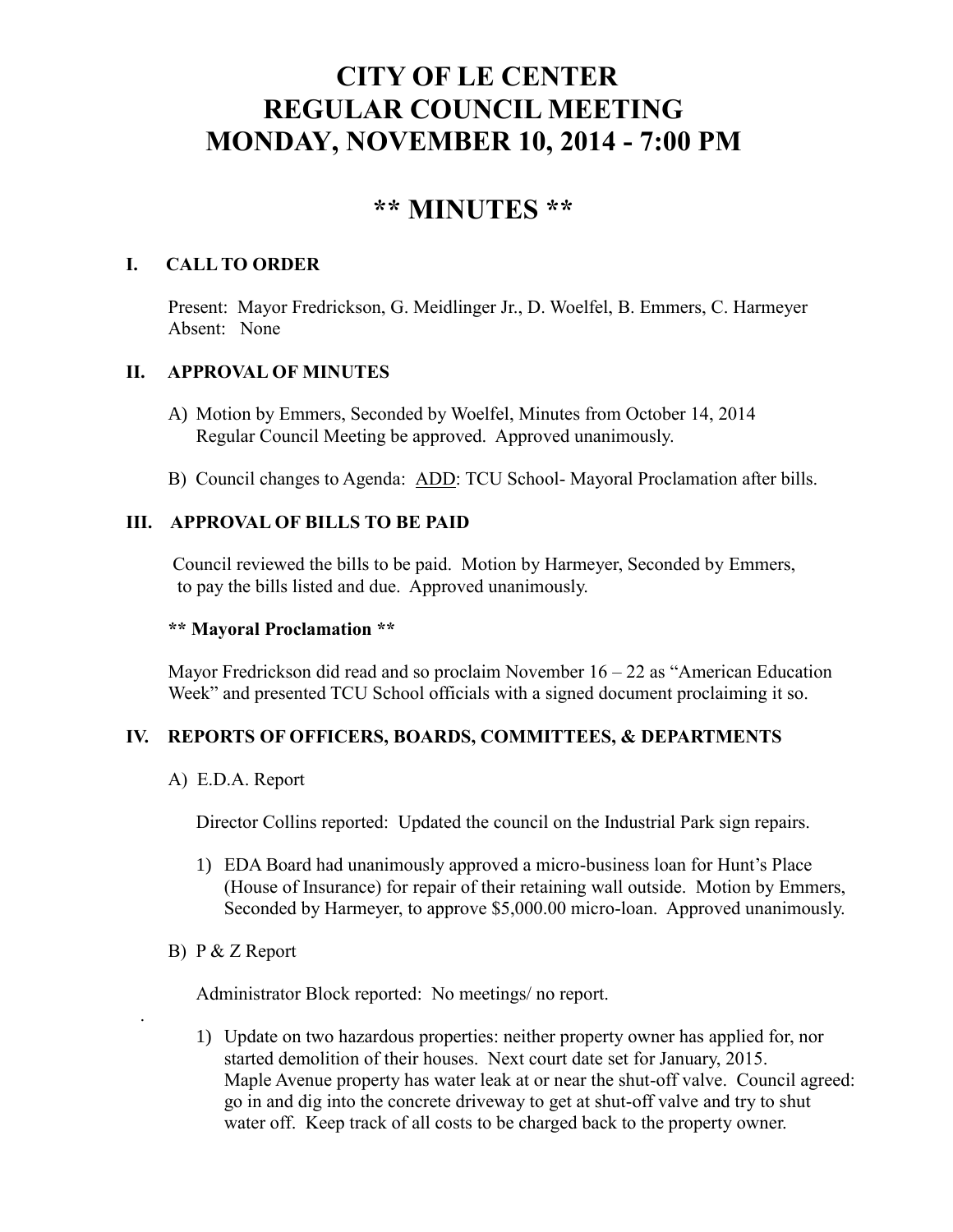# **CITY OF LE CENTER REGULAR COUNCIL MEETING MONDAY, NOVEMBER 10, 2014 - 7:00 PM**

## **\*\* MINUTES \*\***

## **I. CALL TO ORDER**

Present: Mayor Fredrickson, G. Meidlinger Jr., D. Woelfel, B. Emmers, C. Harmeyer Absent: None

## **II. APPROVAL OF MINUTES**

- A) Motion by Emmers, Seconded by Woelfel, Minutes from October 14, 2014 Regular Council Meeting be approved. Approved unanimously.
- B) Council changes to Agenda: ADD: TCU School- Mayoral Proclamation after bills.

## **III. APPROVAL OF BILLS TO BE PAID**

Council reviewed the bills to be paid. Motion by Harmeyer, Seconded by Emmers, to pay the bills listed and due. Approved unanimously.

#### **\*\* Mayoral Proclamation \*\***

Mayor Fredrickson did read and so proclaim November  $16 - 22$  as "American Education" Week" and presented TCU School officials with a signed document proclaiming it so.

## **IV. REPORTS OF OFFICERS, BOARDS, COMMITTEES, & DEPARTMENTS**

A) E.D.A. Report

Director Collins reported: Updated the council on the Industrial Park sign repairs.

- 1) EDA Board had unanimously approved a micro-business loan for Hunt's Place (House of Insurance) for repair of their retaining wall outside. Motion by Emmers, Seconded by Harmeyer, to approve \$5,000.00 micro-loan. Approved unanimously.
- B) P & Z Report

.

Administrator Block reported: No meetings/ no report.

1) Update on two hazardous properties: neither property owner has applied for, nor started demolition of their houses. Next court date set for January, 2015. Maple Avenue property has water leak at or near the shut-off valve. Council agreed: go in and dig into the concrete driveway to get at shut-off valve and try to shut water off. Keep track of all costs to be charged back to the property owner.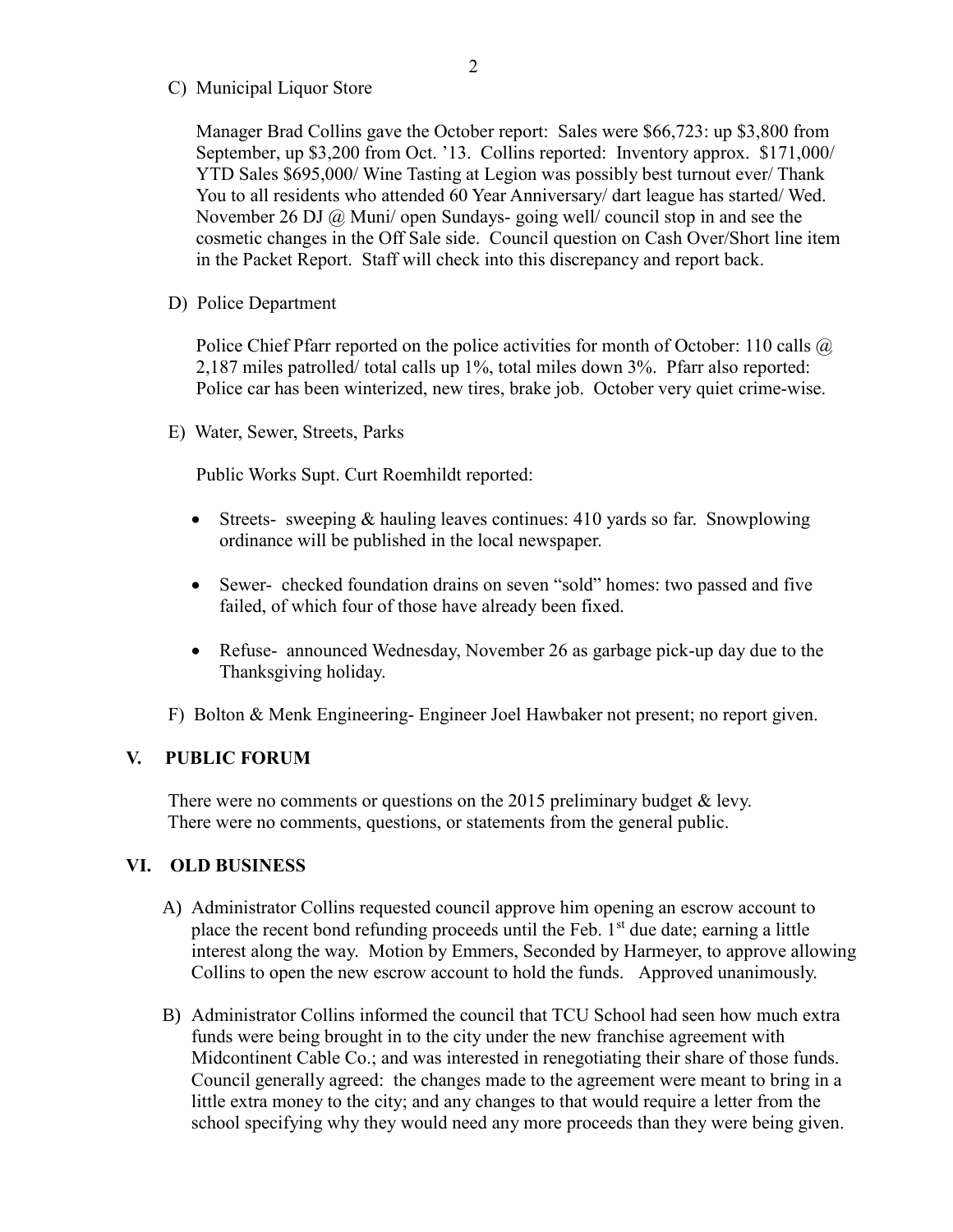C) Municipal Liquor Store

Manager Brad Collins gave the October report: Sales were \$66,723: up \$3,800 from September, up \$3,200 from Oct. '13. Collins reported: Inventory approx. \$171,000/ YTD Sales \$695,000/ Wine Tasting at Legion was possibly best turnout ever/ Thank You to all residents who attended 60 Year Anniversary/ dart league has started/ Wed. November 26 DJ @ Muni/ open Sundays- going well/ council stop in and see the cosmetic changes in the Off Sale side. Council question on Cash Over/Short line item in the Packet Report. Staff will check into this discrepancy and report back.

D) Police Department

Police Chief Pfarr reported on the police activities for month of October: 110 calls  $\omega$ 2,187 miles patrolled/ total calls up 1%, total miles down 3%. Pfarr also reported: Police car has been winterized, new tires, brake job. October very quiet crime-wise.

E) Water, Sewer, Streets, Parks

Public Works Supt. Curt Roemhildt reported:

- Streets- sweeping  $&$  hauling leaves continues: 410 yards so far. Snowplowing ordinance will be published in the local newspaper.
- Sewer- checked foundation drains on seven "sold" homes: two passed and five failed, of which four of those have already been fixed.
- Refuse- announced Wednesday, November 26 as garbage pick-up day due to the Thanksgiving holiday.

F) Bolton & Menk Engineering- Engineer Joel Hawbaker not present; no report given.

#### **V. PUBLIC FORUM**

There were no comments or questions on the 2015 preliminary budget  $\&$  levy. There were no comments, questions, or statements from the general public.

#### **VI. OLD BUSINESS**

- A) Administrator Collins requested council approve him opening an escrow account to place the recent bond refunding proceeds until the Feb.  $1<sup>st</sup>$  due date; earning a little interest along the way. Motion by Emmers, Seconded by Harmeyer, to approve allowing Collins to open the new escrow account to hold the funds. Approved unanimously.
- B) Administrator Collins informed the council that TCU School had seen how much extra funds were being brought in to the city under the new franchise agreement with Midcontinent Cable Co.; and was interested in renegotiating their share of those funds. Council generally agreed: the changes made to the agreement were meant to bring in a little extra money to the city; and any changes to that would require a letter from the school specifying why they would need any more proceeds than they were being given.